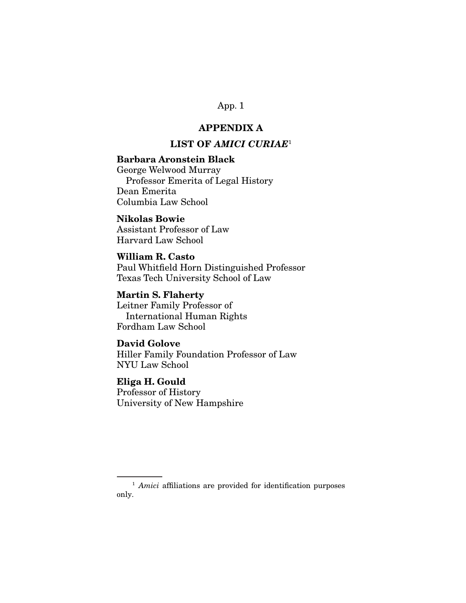# **APPENDIX A**

# **LIST OF** *AMICI CURIAE*<sup>1</sup>

### **Barbara Aronstein Black**

George Welwood Murray Professor Emerita of Legal History Dean Emerita Columbia Law School

## **Nikolas Bowie**

Assistant Professor of Law Harvard Law School

## **William R. Casto**

Paul Whitfield Horn Distinguished Professor Texas Tech University School of Law

## **Martin S. Flaherty**

Leitner Family Professor of International Human Rights Fordham Law School

## **David Golove**

Hiller Family Foundation Professor of Law NYU Law School

# **Eliga H. Gould**

Professor of History University of New Hampshire

<sup>&</sup>lt;sup>1</sup> Amici affiliations are provided for identification purposes only.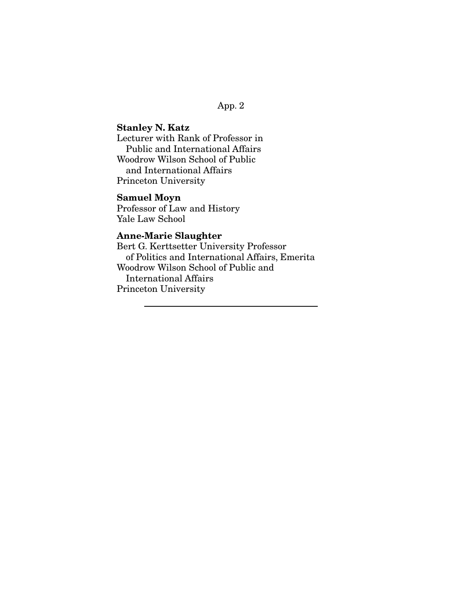# **Stanley N. Katz**

Lecturer with Rank of Professor in Public and International Affairs Woodrow Wilson School of Public and International Affairs Princeton University

# **Samuel Moyn**

Professor of Law and History Yale Law School

# **Anne-Marie Slaughter**

Bert G. Kerttsetter University Professor of Politics and International Affairs, Emerita Woodrow Wilson School of Public and International Affairs Princeton University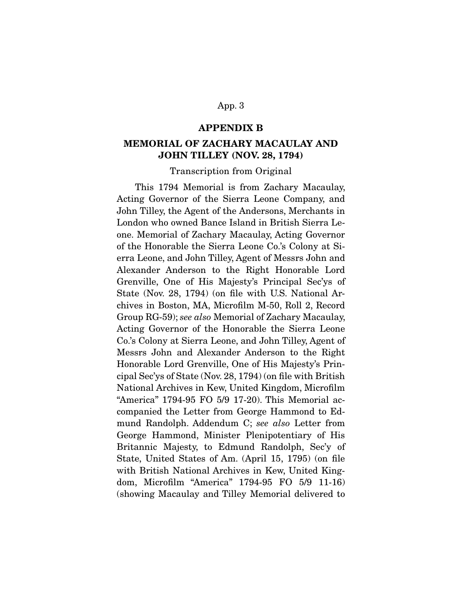### **APPENDIX B**

## **MEMORIAL OF ZACHARY MACAULAY AND JOHN TILLEY (NOV. 28, 1794)**

#### Transcription from Original

 This 1794 Memorial is from Zachary Macaulay, Acting Governor of the Sierra Leone Company, and John Tilley, the Agent of the Andersons, Merchants in London who owned Bance Island in British Sierra Leone. Memorial of Zachary Macaulay, Acting Governor of the Honorable the Sierra Leone Co.'s Colony at Sierra Leone, and John Tilley, Agent of Messrs John and Alexander Anderson to the Right Honorable Lord Grenville, One of His Majesty's Principal Sec'ys of State (Nov. 28, 1794) (on file with U.S. National Archives in Boston, MA, Microfilm M-50, Roll 2, Record Group RG-59); see also Memorial of Zachary Macaulay, Acting Governor of the Honorable the Sierra Leone Co.'s Colony at Sierra Leone, and John Tilley, Agent of Messrs John and Alexander Anderson to the Right Honorable Lord Grenville, One of His Majesty's Principal Sec'ys of State (Nov. 28, 1794) (on file with British National Archives in Kew, United Kingdom, Microfilm "America" 1794-95 FO 5/9 17-20). This Memorial accompanied the Letter from George Hammond to Edmund Randolph. Addendum C; see also Letter from George Hammond, Minister Plenipotentiary of His Britannic Majesty, to Edmund Randolph, Sec'y of State, United States of Am. (April 15, 1795) (on file with British National Archives in Kew, United Kingdom, Microfilm "America" 1794-95 FO 5/9 11-16) (showing Macaulay and Tilley Memorial delivered to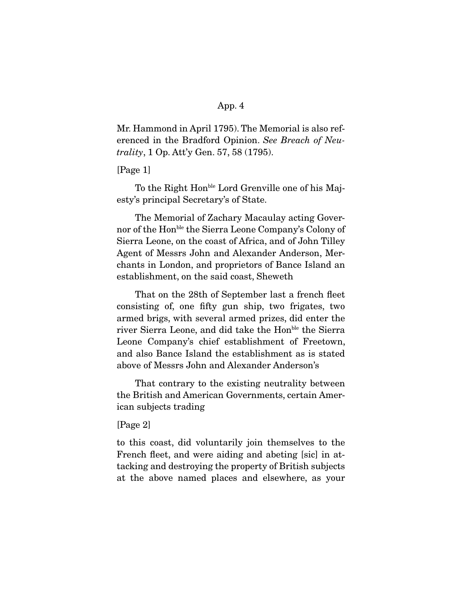Mr. Hammond in April 1795). The Memorial is also referenced in the Bradford Opinion. See Breach of Neutrality, 1 Op. Att'y Gen. 57, 58 (1795).

[Page 1]

To the Right Hon<sup>ble</sup> Lord Grenville one of his Majesty's principal Secretary's of State.

 The Memorial of Zachary Macaulay acting Governor of the Honble the Sierra Leone Company's Colony of Sierra Leone, on the coast of Africa, and of John Tilley Agent of Messrs John and Alexander Anderson, Merchants in London, and proprietors of Bance Island an establishment, on the said coast, Sheweth

 That on the 28th of September last a french fleet consisting of, one fifty gun ship, two frigates, two armed brigs, with several armed prizes, did enter the river Sierra Leone, and did take the Hon<sup>ble</sup> the Sierra Leone Company's chief establishment of Freetown, and also Bance Island the establishment as is stated above of Messrs John and Alexander Anderson's

 That contrary to the existing neutrality between the British and American Governments, certain American subjects trading

[Page 2]

to this coast, did voluntarily join themselves to the French fleet, and were aiding and abeting [sic] in attacking and destroying the property of British subjects at the above named places and elsewhere, as your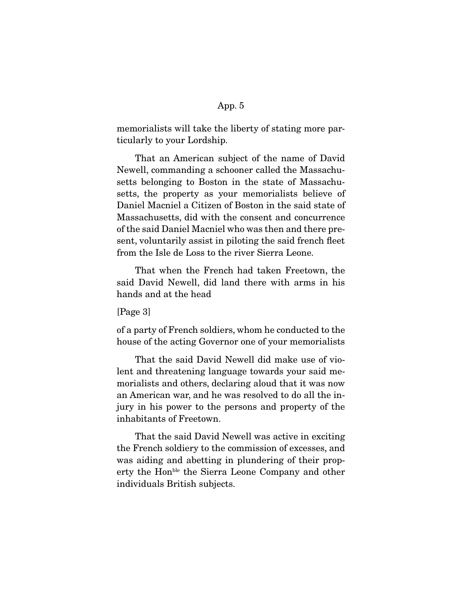memorialists will take the liberty of stating more particularly to your Lordship.

 That an American subject of the name of David Newell, commanding a schooner called the Massachusetts belonging to Boston in the state of Massachusetts, the property as your memorialists believe of Daniel Macniel a Citizen of Boston in the said state of Massachusetts, did with the consent and concurrence of the said Daniel Macniel who was then and there present, voluntarily assist in piloting the said french fleet from the Isle de Loss to the river Sierra Leone.

 That when the French had taken Freetown, the said David Newell, did land there with arms in his hands and at the head

[Page 3]

of a party of French soldiers, whom he conducted to the house of the acting Governor one of your memorialists

 That the said David Newell did make use of violent and threatening language towards your said memorialists and others, declaring aloud that it was now an American war, and he was resolved to do all the injury in his power to the persons and property of the inhabitants of Freetown.

 That the said David Newell was active in exciting the French soldiery to the commission of excesses, and was aiding and abetting in plundering of their property the Honble the Sierra Leone Company and other individuals British subjects.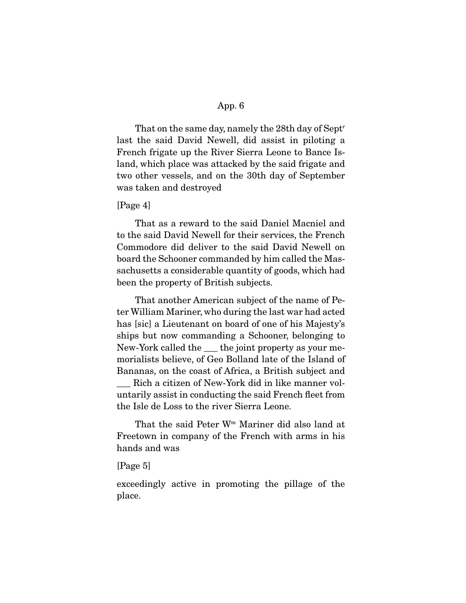That on the same day, namely the 28th day of Sept<sup>r</sup> last the said David Newell, did assist in piloting a French frigate up the River Sierra Leone to Bance Island, which place was attacked by the said frigate and two other vessels, and on the 30th day of September was taken and destroyed

#### [Page 4]

 That as a reward to the said Daniel Macniel and to the said David Newell for their services, the French Commodore did deliver to the said David Newell on board the Schooner commanded by him called the Massachusetts a considerable quantity of goods, which had been the property of British subjects.

 That another American subject of the name of Peter William Mariner, who during the last war had acted has [sic] a Lieutenant on board of one of his Majesty's ships but now commanding a Schooner, belonging to New-York called the the joint property as your memorialists believe, of Geo Bolland late of the Island of Bananas, on the coast of Africa, a British subject and Rich a citizen of New-York did in like manner voluntarily assist in conducting the said French fleet from the Isle de Loss to the river Sierra Leone.

 That the said Peter Wm Mariner did also land at Freetown in company of the French with arms in his hands and was

### [Page 5]

exceedingly active in promoting the pillage of the place.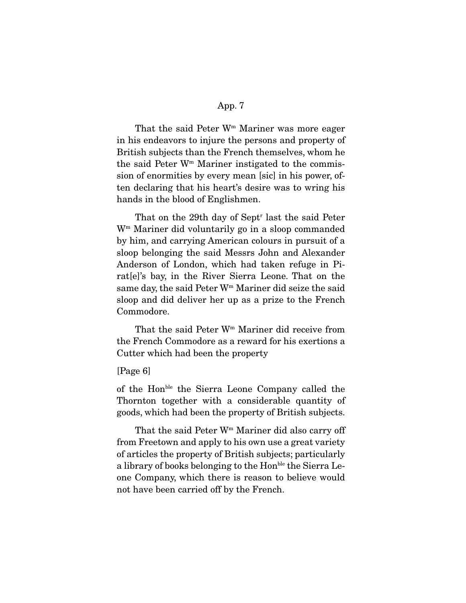That the said Peter  $W<sup>m</sup>$  Mariner was more eager in his endeavors to injure the persons and property of British subjects than the French themselves, whom he the said Peter  $W<sup>m</sup>$  Mariner instigated to the commission of enormities by every mean [sic] in his power, often declaring that his heart's desire was to wring his hands in the blood of Englishmen.

That on the 29th day of Sept<sup>r</sup> last the said Peter Wm Mariner did voluntarily go in a sloop commanded by him, and carrying American colours in pursuit of a sloop belonging the said Messrs John and Alexander Anderson of London, which had taken refuge in Pirat[e]'s bay, in the River Sierra Leone. That on the same day, the said Peter W<sup>m</sup> Mariner did seize the said sloop and did deliver her up as a prize to the French Commodore.

 That the said Peter Wm Mariner did receive from the French Commodore as a reward for his exertions a Cutter which had been the property

## [Page 6]

of the Honble the Sierra Leone Company called the Thornton together with a considerable quantity of goods, which had been the property of British subjects.

That the said Peter  $W<sup>m</sup>$  Mariner did also carry off from Freetown and apply to his own use a great variety of articles the property of British subjects; particularly a library of books belonging to the Hon<sup>ble</sup> the Sierra Leone Company, which there is reason to believe would not have been carried off by the French.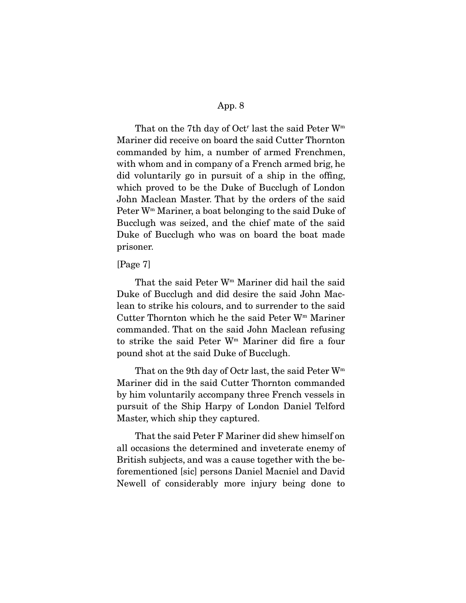That on the 7<sup>th</sup> day of Oct<sup>r</sup> last the said Peter  $W<sup>m</sup>$ Mariner did receive on board the said Cutter Thornton commanded by him, a number of armed Frenchmen, with whom and in company of a French armed brig, he did voluntarily go in pursuit of a ship in the offing, which proved to be the Duke of Bucclugh of London John Maclean Master. That by the orders of the said Peter Wm Mariner, a boat belonging to the said Duke of Bucclugh was seized, and the chief mate of the said Duke of Bucclugh who was on board the boat made prisoner.

#### [Page 7]

 That the said Peter Wm Mariner did hail the said Duke of Bucclugh and did desire the said John Maclean to strike his colours, and to surrender to the said Cutter Thornton which he the said Peter Wm Mariner commanded. That on the said John Maclean refusing to strike the said Peter Wm Mariner did fire a four pound shot at the said Duke of Bucclugh.

That on the 9th day of Octr last, the said Peter W<sup>m</sup> Mariner did in the said Cutter Thornton commanded by him voluntarily accompany three French vessels in pursuit of the Ship Harpy of London Daniel Telford Master, which ship they captured.

 That the said Peter F Mariner did shew himself on all occasions the determined and inveterate enemy of British subjects, and was a cause together with the beforementioned [sic] persons Daniel Macniel and David Newell of considerably more injury being done to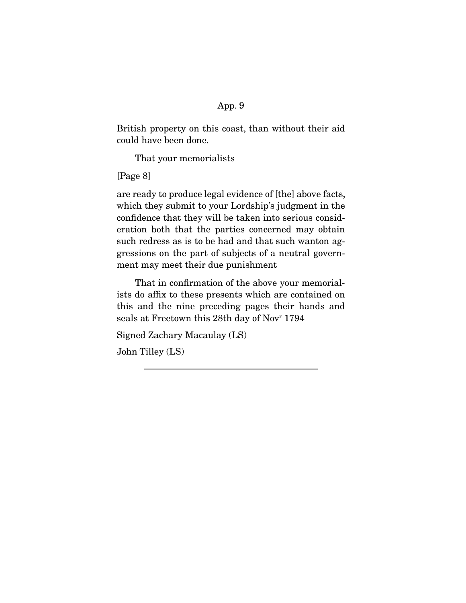British property on this coast, than without their aid could have been done.

That your memorialists

[Page 8]

are ready to produce legal evidence of [the] above facts, which they submit to your Lordship's judgment in the confidence that they will be taken into serious consideration both that the parties concerned may obtain such redress as is to be had and that such wanton aggressions on the part of subjects of a neutral government may meet their due punishment

 That in confirmation of the above your memorialists do affix to these presents which are contained on this and the nine preceding pages their hands and seals at Freetown this 28th day of Novr 1794

Signed Zachary Macaulay (LS)

John Tilley (LS)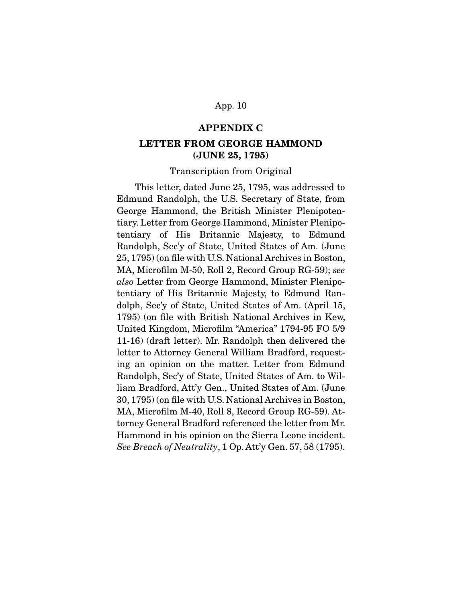#### **APPENDIX C**

## **LETTER FROM GEORGE HAMMOND (JUNE 25, 1795)**

#### Transcription from Original

 This letter, dated June 25, 1795, was addressed to Edmund Randolph, the U.S. Secretary of State, from George Hammond, the British Minister Plenipotentiary. Letter from George Hammond, Minister Plenipotentiary of His Britannic Majesty, to Edmund Randolph, Sec'y of State, United States of Am. (June 25, 1795) (on file with U.S. National Archives in Boston, MA, Microfilm M-50, Roll 2, Record Group RG-59); see also Letter from George Hammond, Minister Plenipotentiary of His Britannic Majesty, to Edmund Randolph, Sec'y of State, United States of Am. (April 15, 1795) (on file with British National Archives in Kew, United Kingdom, Microfilm "America" 1794-95 FO 5/9 11-16) (draft letter). Mr. Randolph then delivered the letter to Attorney General William Bradford, requesting an opinion on the matter. Letter from Edmund Randolph, Sec'y of State, United States of Am. to William Bradford, Att'y Gen., United States of Am. (June 30, 1795) (on file with U.S. National Archives in Boston, MA, Microfilm M-40, Roll 8, Record Group RG-59). Attorney General Bradford referenced the letter from Mr. Hammond in his opinion on the Sierra Leone incident. See Breach of Neutrality, 1 Op. Att'y Gen. 57, 58 (1795).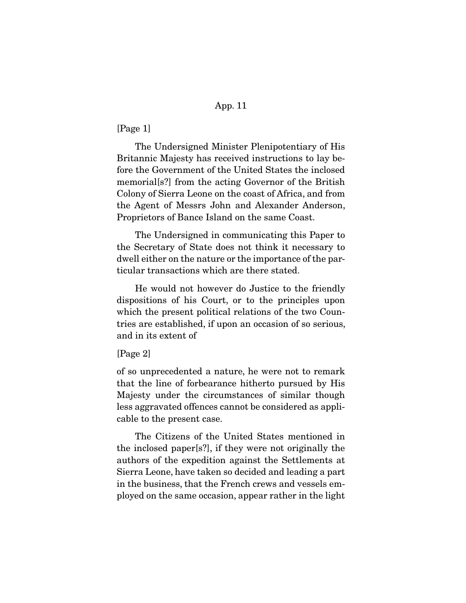[Page 1]

 The Undersigned Minister Plenipotentiary of His Britannic Majesty has received instructions to lay before the Government of the United States the inclosed memorial[s?] from the acting Governor of the British Colony of Sierra Leone on the coast of Africa, and from the Agent of Messrs John and Alexander Anderson, Proprietors of Bance Island on the same Coast.

 The Undersigned in communicating this Paper to the Secretary of State does not think it necessary to dwell either on the nature or the importance of the particular transactions which are there stated.

 He would not however do Justice to the friendly dispositions of his Court, or to the principles upon which the present political relations of the two Countries are established, if upon an occasion of so serious, and in its extent of

### [Page 2]

of so unprecedented a nature, he were not to remark that the line of forbearance hitherto pursued by His Majesty under the circumstances of similar though less aggravated offences cannot be considered as applicable to the present case.

 The Citizens of the United States mentioned in the inclosed paper[s?], if they were not originally the authors of the expedition against the Settlements at Sierra Leone, have taken so decided and leading a part in the business, that the French crews and vessels employed on the same occasion, appear rather in the light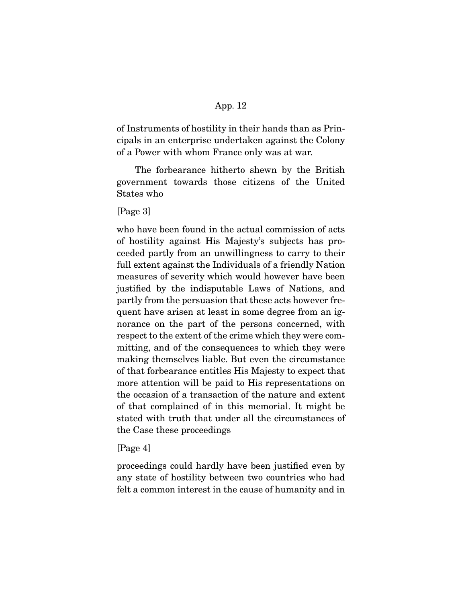of Instruments of hostility in their hands than as Principals in an enterprise undertaken against the Colony of a Power with whom France only was at war.

 The forbearance hitherto shewn by the British government towards those citizens of the United States who

[Page 3]

who have been found in the actual commission of acts of hostility against His Majesty's subjects has proceeded partly from an unwillingness to carry to their full extent against the Individuals of a friendly Nation measures of severity which would however have been justified by the indisputable Laws of Nations, and partly from the persuasion that these acts however frequent have arisen at least in some degree from an ignorance on the part of the persons concerned, with respect to the extent of the crime which they were committing, and of the consequences to which they were making themselves liable. But even the circumstance of that forbearance entitles His Majesty to expect that more attention will be paid to His representations on the occasion of a transaction of the nature and extent of that complained of in this memorial. It might be stated with truth that under all the circumstances of the Case these proceedings

### [Page 4]

proceedings could hardly have been justified even by any state of hostility between two countries who had felt a common interest in the cause of humanity and in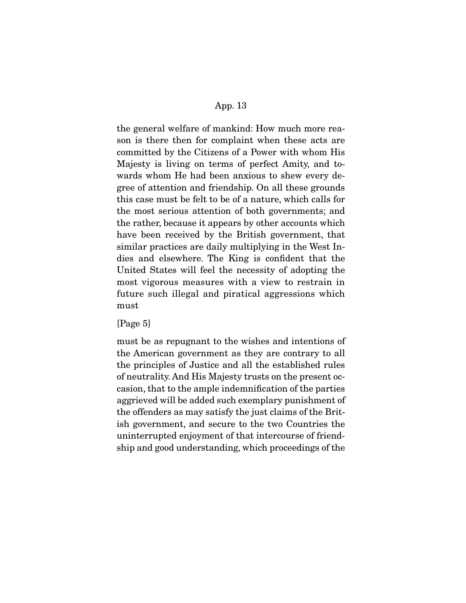the general welfare of mankind: How much more reason is there then for complaint when these acts are committed by the Citizens of a Power with whom His Majesty is living on terms of perfect Amity, and towards whom He had been anxious to shew every degree of attention and friendship. On all these grounds this case must be felt to be of a nature, which calls for the most serious attention of both governments; and the rather, because it appears by other accounts which have been received by the British government, that similar practices are daily multiplying in the West Indies and elsewhere. The King is confident that the United States will feel the necessity of adopting the most vigorous measures with a view to restrain in future such illegal and piratical aggressions which must

[Page 5]

must be as repugnant to the wishes and intentions of the American government as they are contrary to all the principles of Justice and all the established rules of neutrality. And His Majesty trusts on the present occasion, that to the ample indemnification of the parties aggrieved will be added such exemplary punishment of the offenders as may satisfy the just claims of the British government, and secure to the two Countries the uninterrupted enjoyment of that intercourse of friendship and good understanding, which proceedings of the